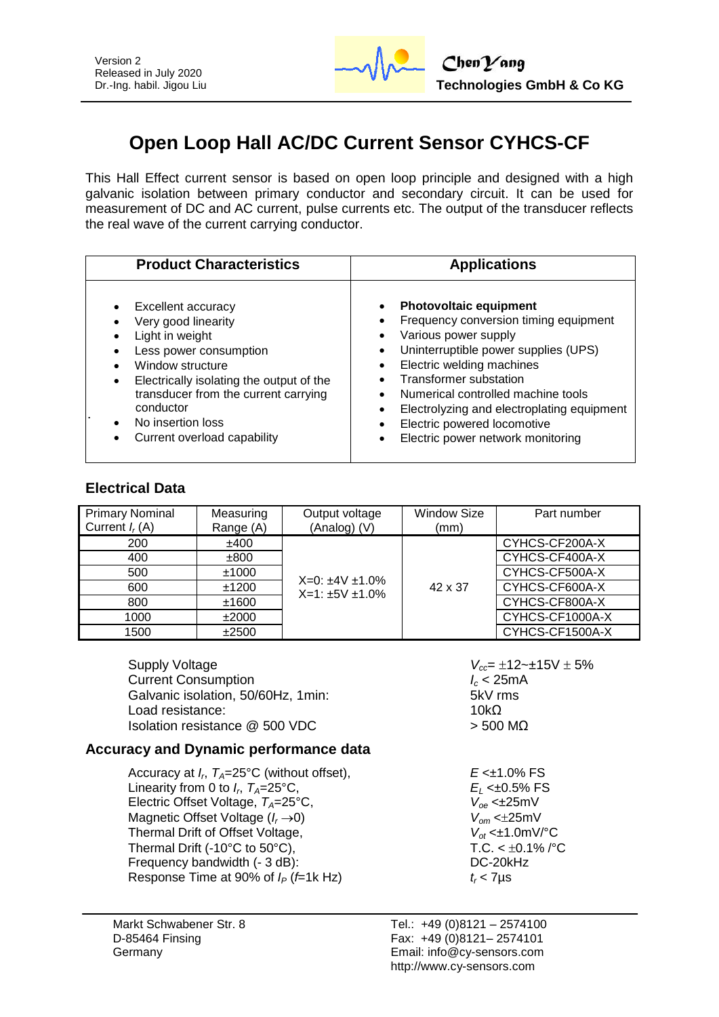

# **Open Loop Hall AC/DC Current Sensor CYHCS-CF**

This Hall Effect current sensor is based on open loop principle and designed with a high galvanic isolation between primary conductor and secondary circuit. It can be used for measurement of DC and AC current, pulse currents etc. The output of the transducer reflects the real wave of the current carrying conductor.

| <b>Product Characteristics</b>           | <b>Applications</b>                        |  |  |
|------------------------------------------|--------------------------------------------|--|--|
| Excellent accuracy                       | <b>Photovoltaic equipment</b>              |  |  |
| Very good linearity                      | Frequency conversion timing equipment      |  |  |
| Light in weight                          | Various power supply                       |  |  |
| Less power consumption                   | Uninterruptible power supplies (UPS)       |  |  |
| Window structure                         | ٠                                          |  |  |
| Electrically isolating the output of the | Electric welding machines                  |  |  |
| $\bullet$                                | <b>Transformer substation</b>              |  |  |
| transducer from the current carrying     | Numerical controlled machine tools         |  |  |
| conductor                                | Electrolyzing and electroplating equipment |  |  |
| No insertion loss                        | Electric powered locomotive                |  |  |
| Current overload capability              | Electric power network monitoring          |  |  |

#### **Electrical Data**

| <b>Primary Nominal</b><br>Current $I_r(A)$ | Measuring<br>Range (A) | Output voltage<br>(Analog) (V)                     | <b>Window Size</b><br>(mm) | Part number     |
|--------------------------------------------|------------------------|----------------------------------------------------|----------------------------|-----------------|
| 200                                        | ±400                   |                                                    |                            | CYHCS-CF200A-X  |
| 400                                        | ±800                   | $X=0: \pm 4V \pm 1.0\%$<br>$X=1: \pm 5V \pm 1.0\%$ | 42 x 37                    | CYHCS-CF400A-X  |
| 500                                        | ±1000                  |                                                    |                            | CYHCS-CF500A-X  |
| 600                                        | ±1200                  |                                                    |                            | CYHCS-CF600A-X  |
| 800                                        | ±1600                  |                                                    |                            | CYHCS-CF800A-X  |
| 1000                                       | ±2000                  |                                                    |                            | CYHCS-CF1000A-X |
| 1500                                       | ±2500                  |                                                    |                            | CYHCS-CF1500A-X |

Supply Voltage *V<sub>cc</sub>***=**  $\pm$ **12~±15V**  $\pm$  5% **Current Consumption** *C* **Current Consumption** Galvanic isolation, 50/60Hz, 1min: 5kV rms Load resistance:  $10kΩ$  $Isolation resistance @ 500 VDC$  > 500 MΩ

### **Accuracy and Dynamic performance data**

Accuracy at *I<sup>r</sup>* , *TA*=25°C (without offset), *E* <±1.0% FS Linearity from 0 to  $I_r$ ,  $T_A = 25^{\circ}C$ , Electric Offset Voltage,  $T_A = 25^\circ \text{C}$ , Magnetic Offset Voltage (*I<sub>r</sub>* ->0)  $V_{om}$  <±25mV<br>Thermal Drift of Offset Voltage,  $V_{of}$  <±1.0mV/°C Thermal Drift of Offset Voltage,  $V_{ot} < \pm 1.0 \text{mV/C}$ <br>Thermal Drift (-10°C to 50°C). T.C. <  $\pm 0.1\%$  /°C Thermal Drift (-10°C to 50°C),  $TC. < ±0.1$ <br>Frequency bandwidth (- 3 dB):  $DC-20kHz$ Frequency bandwidth  $(-3 dB)$ : Response Time at 90% of  $I_P$  ( $f=1k$  Hz)  $t_r < 7\mu s$ 

 $E_L$  <±0.5% FS<br> $V_{\text{oe}}$  <±25mV